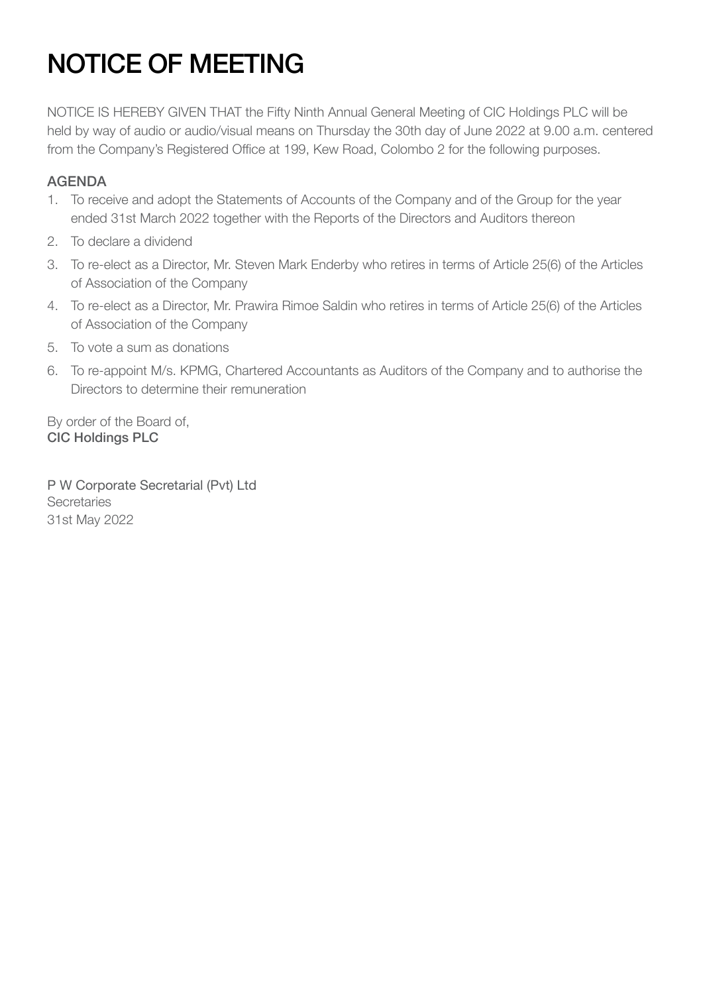# NOTICE OF MEETING

NOTICE IS HEREBY GIVEN THAT the Fifty Ninth Annual General Meeting of CIC Holdings PLC will be held by way of audio or audio/visual means on Thursday the 30th day of June 2022 at 9.00 a.m. centered from the Company's Registered Office at 199, Kew Road, Colombo 2 for the following purposes.

#### AGENDA

- 1. To receive and adopt the Statements of Accounts of the Company and of the Group for the year ended 31st March 2022 together with the Reports of the Directors and Auditors thereon
- 2. To declare a dividend
- 3. To re-elect as a Director, Mr. Steven Mark Enderby who retires in terms of Article 25(6) of the Articles of Association of the Company
- 4. To re-elect as a Director, Mr. Prawira Rimoe Saldin who retires in terms of Article 25(6) of the Articles of Association of the Company
- 5. To vote a sum as donations
- 6. To re-appoint M/s. KPMG, Chartered Accountants as Auditors of the Company and to authorise the Directors to determine their remuneration

By order of the Board of, CIC Holdings PLC

P W Corporate Secretarial (Pvt) Ltd **Secretaries** 31st May 2022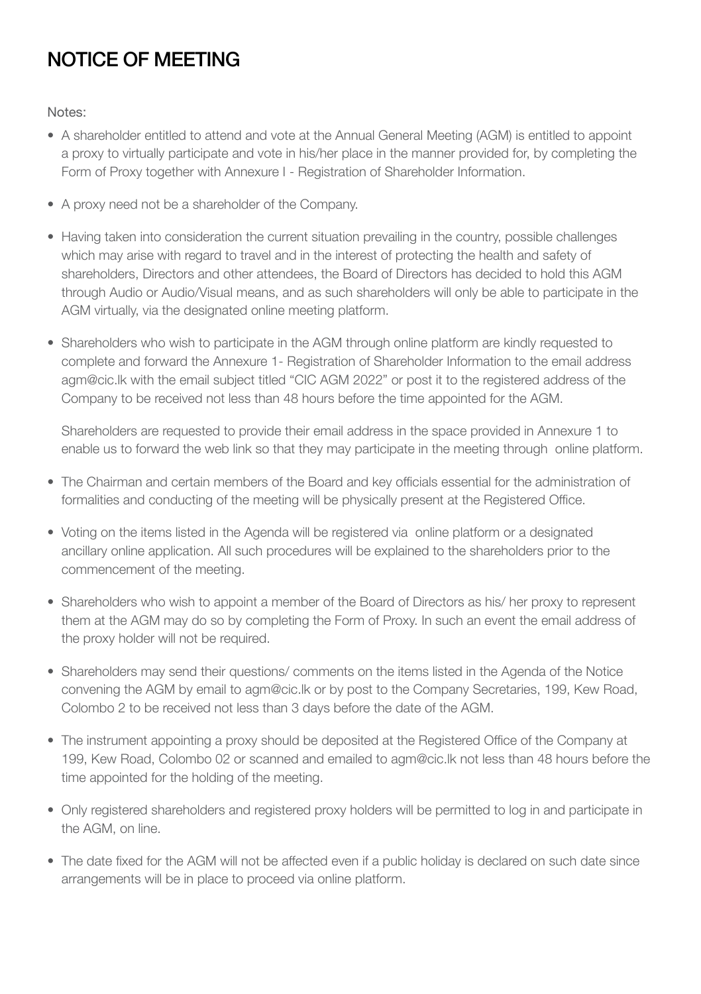### NOTICE OF MEETING

Notes:

- A shareholder entitled to attend and vote at the Annual General Meeting (AGM) is entitled to appoint a proxy to virtually participate and vote in his/her place in the manner provided for, by completing the Form of Proxy together with Annexure I - Registration of Shareholder Information.
- A proxy need not be a shareholder of the Company.
- Having taken into consideration the current situation prevailing in the country, possible challenges which may arise with regard to travel and in the interest of protecting the health and safety of shareholders, Directors and other attendees, the Board of Directors has decided to hold this AGM through Audio or Audio/Visual means, and as such shareholders will only be able to participate in the AGM virtually, via the designated online meeting platform.
- Shareholders who wish to participate in the AGM through online platform are kindly requested to complete and forward the Annexure 1- Registration of Shareholder Information to the email address agm@cic.lk with the email subject titled "CIC AGM 2022" or post it to the registered address of the Company to be received not less than 48 hours before the time appointed for the AGM.

Shareholders are requested to provide their email address in the space provided in Annexure 1 to enable us to forward the web link so that they may participate in the meeting through online platform.

- The Chairman and certain members of the Board and key officials essential for the administration of formalities and conducting of the meeting will be physically present at the Registered Office.
- Voting on the items listed in the Agenda will be registered via online platform or a designated ancillary online application. All such procedures will be explained to the shareholders prior to the commencement of the meeting.
- Shareholders who wish to appoint a member of the Board of Directors as his/ her proxy to represent them at the AGM may do so by completing the Form of Proxy. In such an event the email address of the proxy holder will not be required.
- Shareholders may send their questions/ comments on the items listed in the Agenda of the Notice convening the AGM by email to agm@cic.lk or by post to the Company Secretaries, 199, Kew Road, Colombo 2 to be received not less than 3 days before the date of the AGM.
- The instrument appointing a proxy should be deposited at the Registered Office of the Company at 199, Kew Road, Colombo 02 or scanned and emailed to agm@cic.lk not less than 48 hours before the time appointed for the holding of the meeting.
- Only registered shareholders and registered proxy holders will be permitted to log in and participate in the AGM, on line.
- The date fixed for the AGM will not be affected even if a public holiday is declared on such date since arrangements will be in place to proceed via online platform.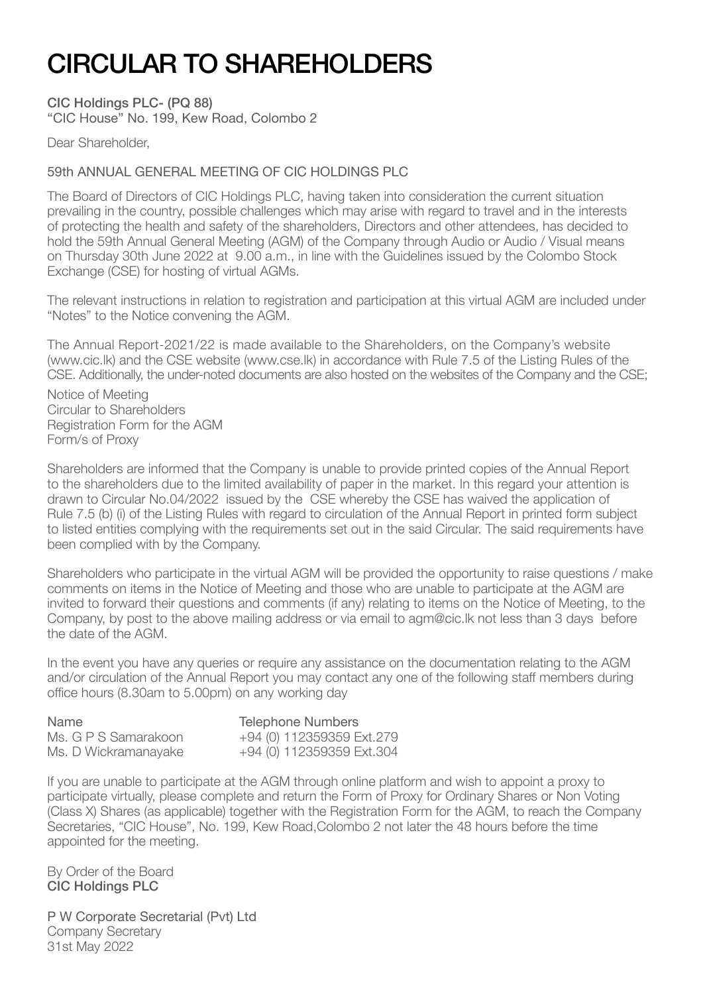## CIRCULAR TO SHAREHOLDERS

CIC Holdings PLC- (PQ 88) "CIC House" No. 199, Kew Road, Colombo 2

Dear Shareholder,

#### 59th ANNUAL GENERAL MEETING OF CIC HOLDINGS PLC

The Board of Directors of CIC Holdings PLC, having taken into consideration the current situation prevailing in the country, possible challenges which may arise with regard to travel and in the interests of protecting the health and safety of the shareholders, Directors and other attendees, has decided to hold the 59th Annual General Meeting (AGM) of the Company through Audio or Audio / Visual means on Thursday 30th June 2022 at 9.00 a.m., in line with the Guidelines issued by the Colombo Stock Exchange (CSE) for hosting of virtual AGMs.

The relevant instructions in relation to registration and participation at this virtual AGM are included under "Notes" to the Notice convening the AGM.

The Annual Report-2021/22 is made available to the Shareholders, on the Company's website (www.cic.lk) and the CSE website (www.cse.lk) in accordance with Rule 7.5 of the Listing Rules of the CSE. Additionally, the under-noted documents are also hosted on the websites of the Company and the CSE;

Notice of Meeting Circular to Shareholders Registration Form for the AGM Form/s of Proxy

Shareholders are informed that the Company is unable to provide printed copies of the Annual Report to the shareholders due to the limited availability of paper in the market. In this regard your attention is drawn to Circular No.04/2022 issued by the CSE whereby the CSE has waived the application of Rule 7.5 (b) (i) of the Listing Rules with regard to circulation of the Annual Report in printed form subject to listed entities complying with the requirements set out in the said Circular. The said requirements have been complied with by the Company.

Shareholders who participate in the virtual AGM will be provided the opportunity to raise questions / make comments on items in the Notice of Meeting and those who are unable to participate at the AGM are invited to forward their questions and comments (if any) relating to items on the Notice of Meeting, to the Company, by post to the above mailing address or via email to agm@cic.lk not less than 3 days before the date of the AGM.

In the event you have any queries or require any assistance on the documentation relating to the AGM and/or circulation of the Annual Report you may contact any one of the following staff members during office hours (8.30am to 5.00pm) on any working day

Name Telephone Numbers<br>Ms. G P S Samarakoon +94 (0) 112359359 F

Ms. G P S Samarakoon  $+94(0)$  112359359 Ext.279<br>Ms. D Wickramanavake  $+94(0)$  112359359 Ext.304  $+94$  (0) 112359359 Ext.304

If you are unable to participate at the AGM through online platform and wish to appoint a proxy to participate virtually, please complete and return the Form of Proxy for Ordinary Shares or Non Voting (Class X) Shares (as applicable) together with the Registration Form for the AGM, to reach the Company Secretaries, "CIC House", No. 199, Kew Road,Colombo 2 not later the 48 hours before the time appointed for the meeting.

By Order of the Board CIC Holdings PLC

P W Corporate Secretarial (Pvt) Ltd Company Secretary 31st May 2022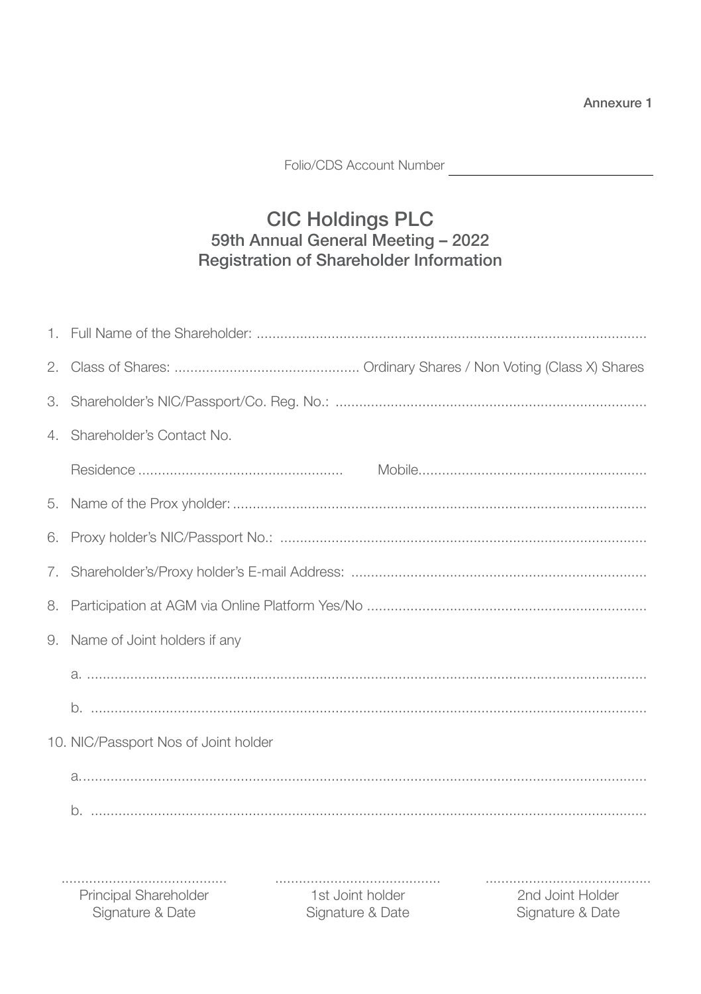Annexure 1

Folio/CDS Account Number

### CIC Holdings PLC<br>59th Annual General Meeting - 2022 Registration of Shareholder Information

|    | 4. Shareholder's Contact No.                                                                                                   |  |  |
|----|--------------------------------------------------------------------------------------------------------------------------------|--|--|
|    |                                                                                                                                |  |  |
| 5. |                                                                                                                                |  |  |
| 6. |                                                                                                                                |  |  |
| 7. |                                                                                                                                |  |  |
| 8. |                                                                                                                                |  |  |
| 9. | Name of Joint holders if any                                                                                                   |  |  |
|    |                                                                                                                                |  |  |
|    |                                                                                                                                |  |  |
|    | 10. NIC/Passport Nos of Joint holder                                                                                           |  |  |
|    |                                                                                                                                |  |  |
|    |                                                                                                                                |  |  |
|    |                                                                                                                                |  |  |
|    | .<br>Principal Shareholder<br>1st Joint holder<br>2nd Joint Holder<br>Signature & Date<br>Signature & Date<br>Signature & Date |  |  |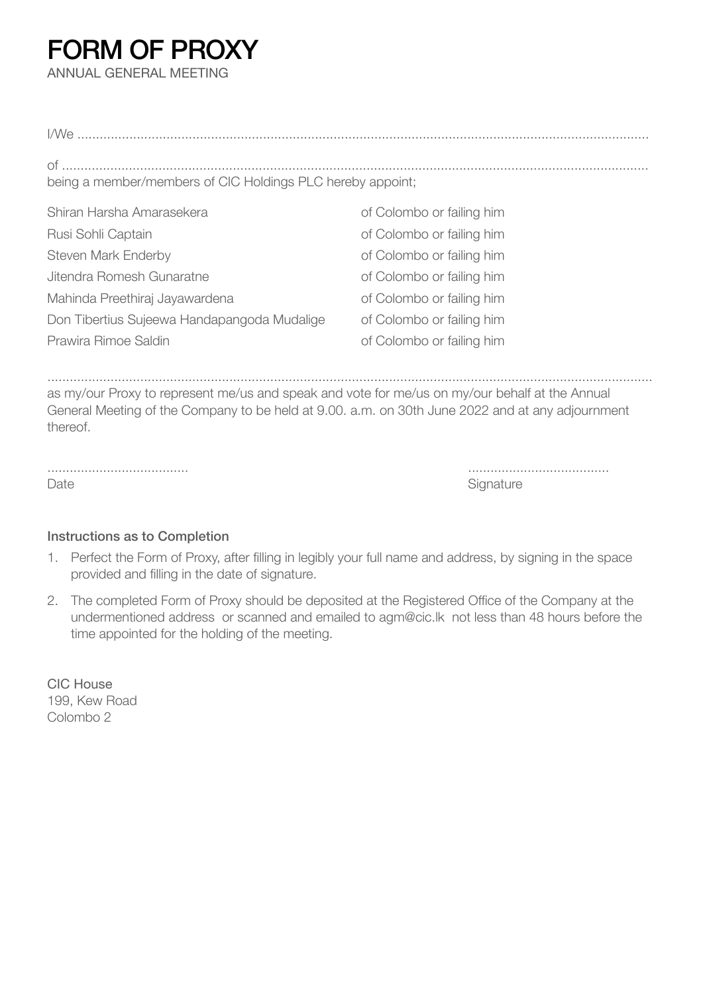### FORM OF PROXY

ANNUAL GENERAL MEETING

| being a member/members of CIC Holdings PLC hereby appoint;                                                                |                           |  |  |
|---------------------------------------------------------------------------------------------------------------------------|---------------------------|--|--|
| Shiran Harsha Amarasekera                                                                                                 | of Colombo or failing him |  |  |
| Rusi Sohli Captain                                                                                                        | of Colombo or failing him |  |  |
| Steven Mark Enderby                                                                                                       | of Colombo or failing him |  |  |
| Jitendra Romesh Gunaratne                                                                                                 | of Colombo or failing him |  |  |
| Mahinda Preethiraj Jayawardena                                                                                            | of Colombo or failing him |  |  |
| Don Tibertius Sujeewa Handapangoda Mudalige                                                                               | of Colombo or failing him |  |  |
| Prawira Rimoe Saldin                                                                                                      | of Colombo or failing him |  |  |
|                                                                                                                           |                           |  |  |
|                                                                                                                           |                           |  |  |
| . اما يمكن المطالبة والمطامع بالمناصر من من المدينة ملويا المدينة الموسوم المدينة الموسوم ومستقل ملا يمنيها المساريين ومن |                           |  |  |

as my/our Proxy to represent me/us and speak and vote for me/us on my/our behalf at the Annual General Meeting of the Company to be held at 9.00. a.m. on 30th June 2022 and at any adjournment thereof.

...................................... ...................................... Date **Signature** Signature Signature **Signature** Signature Signature Signature Signature

#### Instructions as to Completion

- 1. Perfect the Form of Proxy, after filling in legibly your full name and address, by signing in the space provided and filling in the date of signature.
- 2. The completed Form of Proxy should be deposited at the Registered Office of the Company at the undermentioned address or scanned and emailed to agm@cic.lk not less than 48 hours before the time appointed for the holding of the meeting.

CIC House 199, Kew Road Colombo 2